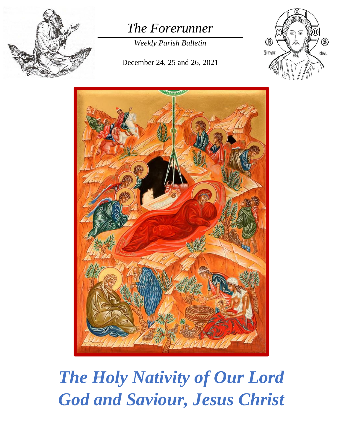

# *The Forerunner*

*Weekly Parish Bulletin*

December 24, 25 and 26, 2021





*The Holy Nativity of Our Lord God and Saviour, Jesus Christ*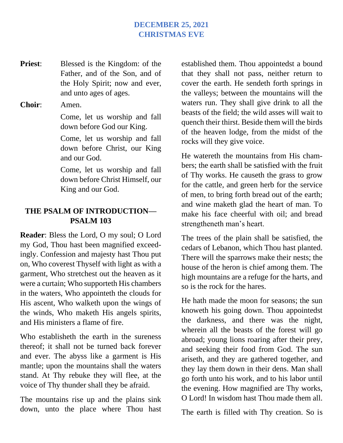# **DECEMBER 25, 2021 CHRISTMAS EVE**

**Priest:** Blessed is the Kingdom: of the Father, and of the Son, and of the Holy Spirit; now and ever, and unto ages of ages.

**Choir**: Amen.

Come, let us worship and fall down before God our King.

Come, let us worship and fall down before Christ, our King and our God.

Come, let us worship and fall down before Christ Himself, our King and our God.

# **THE PSALM OF INTRODUCTION— PSALM 103**

**Reader**: Bless the Lord, O my soul; O Lord my God, Thou hast been magnified exceedingly. Confession and majesty hast Thou put on, Who coverest Thyself with light as with a garment, Who stretchest out the heaven as it were a curtain; Who supporteth His chambers in the waters, Who appointeth the clouds for His ascent, Who walketh upon the wings of the winds, Who maketh His angels spirits, and His ministers a flame of fire.

Who establisheth the earth in the sureness thereof; it shall not be turned back forever and ever. The abyss like a garment is His mantle; upon the mountains shall the waters stand. At Thy rebuke they will flee, at the voice of Thy thunder shall they be afraid.

The mountains rise up and the plains sink down, unto the place where Thou hast

established them. Thou appointedst a bound that they shall not pass, neither return to cover the earth. He sendeth forth springs in the valleys; between the mountains will the waters run. They shall give drink to all the beasts of the field; the wild asses will wait to quench their thirst. Beside them will the birds of the heaven lodge, from the midst of the rocks will they give voice.

He watereth the mountains from His chambers; the earth shall be satisfied with the fruit of Thy works. He causeth the grass to grow for the cattle, and green herb for the service of men, to bring forth bread out of the earth; and wine maketh glad the heart of man. To make his face cheerful with oil; and bread strengtheneth man's heart.

The trees of the plain shall be satisfied, the cedars of Lebanon, which Thou hast planted. There will the sparrows make their nests; the house of the heron is chief among them. The high mountains are a refuge for the harts, and so is the rock for the hares.

He hath made the moon for seasons; the sun knoweth his going down. Thou appointedst the darkness, and there was the night, wherein all the beasts of the forest will go abroad; young lions roaring after their prey, and seeking their food from God. The sun ariseth, and they are gathered together, and they lay them down in their dens. Man shall go forth unto his work, and to his labor until the evening. How magnified are Thy works, O Lord! In wisdom hast Thou made them all.

The earth is filled with Thy creation. So is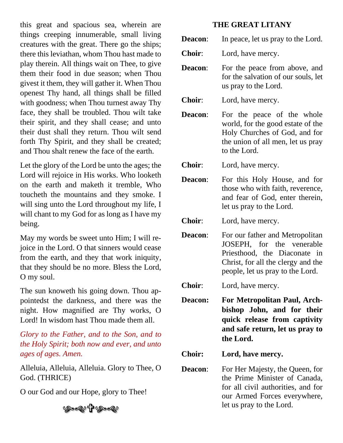this great and spacious sea, wherein are things creeping innumerable, small living creatures with the great. There go the ships; there this leviathan, whom Thou hast made to play therein. All things wait on Thee, to give them their food in due season; when Thou givest it them, they will gather it. When Thou openest Thy hand, all things shall be filled with goodness; when Thou turnest away Thy face, they shall be troubled. Thou wilt take their spirit, and they shall cease; and unto their dust shall they return. Thou wilt send forth Thy Spirit, and they shall be created; and Thou shalt renew the face of the earth.

Let the glory of the Lord be unto the ages; the Lord will rejoice in His works. Who looketh on the earth and maketh it tremble, Who toucheth the mountains and they smoke. I will sing unto the Lord throughout my life, I will chant to my God for as long as I have my being.

May my words be sweet unto Him; I will rejoice in the Lord. O that sinners would cease from the earth, and they that work iniquity, that they should be no more. Bless the Lord, O my soul.

The sun knoweth his going down. Thou appointedst the darkness, and there was the night. How magnified are Thy works, O Lord! In wisdom hast Thou made them all.

*Glory to the Father, and to the Son, and to the Holy Spirit; both now and ever, and unto ages of ages. Amen.*

Alleluia, Alleluia, Alleluia. Glory to Thee, O God. (THRICE)

O our God and our Hope, glory to Thee!

֍֎ֈֈ֎֎

#### **THE GREAT LITANY**

| <b>Deacon:</b> | In peace, let us pray to the Lord.                                                                                                                                     |
|----------------|------------------------------------------------------------------------------------------------------------------------------------------------------------------------|
| Choir:         | Lord, have mercy.                                                                                                                                                      |
| Deacon:        | For the peace from above, and<br>for the salvation of our souls, let<br>us pray to the Lord.                                                                           |
| <b>Choir:</b>  | Lord, have mercy.                                                                                                                                                      |
| <b>Deacon:</b> | For the peace of the whole<br>world, for the good estate of the<br>Holy Churches of God, and for<br>the union of all men, let us pray<br>to the Lord.                  |
| Choir:         | Lord, have mercy.                                                                                                                                                      |
| Deacon:        | For this Holy House, and for<br>those who with faith, reverence,<br>and fear of God, enter therein,<br>let us pray to the Lord.                                        |
| Choir:         | Lord, have mercy.                                                                                                                                                      |
| <b>Deacon:</b> | For our father and Metropolitan<br>JOSEPH, for the venerable<br>Priesthood, the Diaconate in<br>Christ, for all the clergy and the<br>people, let us pray to the Lord. |
| <b>Choir:</b>  | Lord, have mercy.                                                                                                                                                      |
| <b>Deacon:</b> | For Metropolitan Paul, Arch-<br>bishop John, and for their<br>quick release from captivity<br>and safe return, let us pray to<br>the Lord.                             |
| <b>Choir:</b>  | Lord, have mercy.                                                                                                                                                      |

**Deacon:** For Her Majesty, the Queen, for the Prime Minister of Canada, for all civil authorities, and for our Armed Forces everywhere, let us pray to the Lord.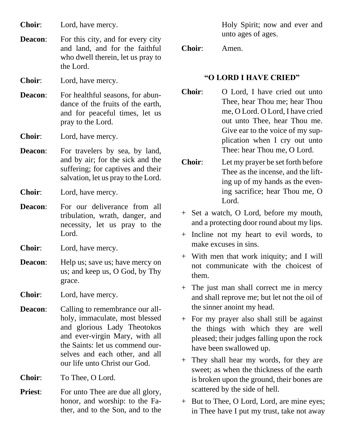**Choir**: Lord, have mercy.

**Deacon:** For this city, and for every city and land, and for the faithful who dwell therein, let us pray to the Lord.

**Choir**: Lord, have mercy.

**Deacon:** For healthful seasons, for abundance of the fruits of the earth, and for peaceful times, let us pray to the Lord.

**Choir**: Lord, have mercy.

- **Deacon:** For travelers by sea, by land, and by air; for the sick and the suffering; for captives and their salvation, let us pray to the Lord.
- **Choir**: Lord, have mercy.
- **Deacon:** For our deliverance from all tribulation, wrath, danger, and necessity, let us pray to the Lord.

**Choir**: Lord, have mercy.

**Deacon:** Help us; save us; have mercy on us; and keep us, O God, by Thy grace.

**Choir**: Lord, have mercy.

**Deacon:** Calling to remembrance our allholy, immaculate, most blessed and glorious Lady Theotokos and ever-virgin Mary, with all the Saints: let us commend ourselves and each other, and all our life unto Christ our God.

**Choir**: To Thee, O Lord.

**Priest:** For unto Thee are due all glory, honor, and worship: to the Father, and to the Son, and to the

Holy Spirit; now and ever and unto ages of ages.

**Choir**: Amen.

# **"O LORD I HAVE CRIED"**

- **Choir**: O Lord, I have cried out unto Thee, hear Thou me; hear Thou me, O Lord. O Lord, I have cried out unto Thee, hear Thou me. Give ear to the voice of my supplication when I cry out unto Thee: hear Thou me, O Lord.
- **Choir**: Let my prayer be set forth before Thee as the incense, and the lifting up of my hands as the evening sacrifice; hear Thou me, O Lord.
- + Set a watch, O Lord, before my mouth, and a protecting door round about my lips.
- + Incline not my heart to evil words, to make excuses in sins.
- + With men that work iniquity; and I will not communicate with the choicest of them.
- + The just man shall correct me in mercy and shall reprove me; but let not the oil of the sinner anoint my head.
- + For my prayer also shall still be against the things with which they are well pleased; their judges falling upon the rock have been swallowed up.
- + They shall hear my words, for they are sweet; as when the thickness of the earth is broken upon the ground, their bones are scattered by the side of hell.
- + But to Thee, O Lord, Lord, are mine eyes; in Thee have I put my trust, take not away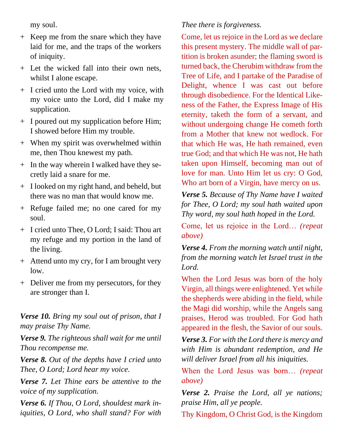my soul.

- + Keep me from the snare which they have laid for me, and the traps of the workers of iniquity.
- + Let the wicked fall into their own nets, whilst I alone escape.
- + I cried unto the Lord with my voice, with my voice unto the Lord, did I make my supplication.
- + I poured out my supplication before Him; I showed before Him my trouble.
- + When my spirit was overwhelmed within me, then Thou knewest my path.
- + In the way wherein I walked have they secretly laid a snare for me.
- + I looked on my right hand, and beheld, but there was no man that would know me.
- + Refuge failed me; no one cared for my soul.
- + I cried unto Thee, O Lord; I said: Thou art my refuge and my portion in the land of the living.
- + Attend unto my cry, for I am brought very low.
- + Deliver me from my persecutors, for they are stronger than I.

*Verse 10. Bring my soul out of prison, that I may praise Thy Name.*

*Verse 9. The righteous shall wait for me until Thou recompense me.*

*Verse 8. Out of the depths have I cried unto Thee, O Lord; Lord hear my voice.*

*Verse 7. Let Thine ears be attentive to the voice of my supplication.*

*Verse 6. If Thou, O Lord, shouldest mark iniquities, O Lord, who shall stand? For with* 

# *Thee there is forgiveness.*

Come, let us rejoice in the Lord as we declare this present mystery. The middle wall of partition is broken asunder; the flaming sword is turned back, the Cherubim withdraw from the Tree of Life, and I partake of the Paradise of Delight, whence I was cast out before through disobedience. For the Identical Likeness of the Father, the Express Image of His eternity, taketh the form of a servant, and without undergoing change He cometh forth from a Mother that knew not wedlock. For that which He was, He hath remained, even true God; and that which He was not, He hath taken upon Himself, becoming man out of love for man. Unto Him let us cry: O God, Who art born of a Virgin, have mercy on us.

*Verse 5. Because of Thy Name have I waited for Thee, O Lord; my soul hath waited upon Thy word, my soul hath hoped in the Lord.*

Come, let us rejoice in the Lord… *(repeat above)*

*Verse 4. From the morning watch until night, from the morning watch let Israel trust in the Lord.*

When the Lord Jesus was born of the holy Virgin, all things were enlightened. Yet while the shepherds were abiding in the field, while the Magi did worship, while the Angels sang praises, Herod was troubled. For God hath appeared in the flesh, the Savior of our souls.

*Verse 3. For with the Lord there is mercy and with Him is abundant redemption, and He will deliver Israel from all his iniquities.*

When the Lord Jesus was born… *(repeat above)*

*Verse 2. Praise the Lord, all ye nations; praise Him, all ye people.*

Thy Kingdom, O Christ God, is the Kingdom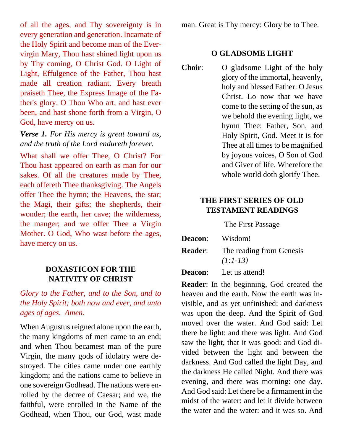of all the ages, and Thy sovereignty is in every generation and generation. Incarnate of the Holy Spirit and become man of the Evervirgin Mary, Thou hast shined light upon us by Thy coming, O Christ God. O Light of Light, Effulgence of the Father, Thou hast made all creation radiant. Every breath praiseth Thee, the Express Image of the Father's glory. O Thou Who art, and hast ever been, and hast shone forth from a Virgin, O God, have mercy on us.

## *Verse 1. For His mercy is great toward us, and the truth of the Lord endureth forever.*

What shall we offer Thee, O Christ? For Thou hast appeared on earth as man for our sakes. Of all the creatures made by Thee, each offereth Thee thanksgiving. The Angels offer Thee the hymn; the Heavens, the star; the Magi, their gifts; the shepherds, their wonder; the earth, her cave; the wilderness, the manger; and we offer Thee a Virgin Mother. O God, Who wast before the ages, have mercy on us.

#### **DOXASTICON FOR THE NATIVITY OF CHRIST**

# *Glory to the Father, and to the Son, and to the Holy Spirit; both now and ever, and unto ages of ages. Amen.*

When Augustus reigned alone upon the earth, the many kingdoms of men came to an end; and when Thou becamest man of the pure Virgin, the many gods of idolatry were destroyed. The cities came under one earthly kingdom; and the nations came to believe in one sovereign Godhead. The nations were enrolled by the decree of Caesar; and we, the faithful, were enrolled in the Name of the Godhead, when Thou, our God, wast made

man. Great is Thy mercy: Glory be to Thee.

#### **O GLADSOME LIGHT**

**Choir**: O gladsome Light of the holy glory of the immortal, heavenly, holy and blessed Father: O Jesus Christ. Lo now that we have come to the setting of the sun, as we behold the evening light, we hymn Thee: Father, Son, and Holy Spirit, God. Meet it is for Thee at all times to be magnified by joyous voices, O Son of God and Giver of life. Wherefore the whole world doth glorify Thee.

### **THE FIRST SERIES OF OLD TESTAMENT READINGS**

The First Passage

| <b>Deacon:</b> Wisdom!                                |
|-------------------------------------------------------|
| <b>Reader:</b> The reading from Genesis<br>$(l:1-13)$ |

**Deacon**: Let us attend!

**Reader**: In the beginning, God created the heaven and the earth. Now the earth was invisible, and as yet unfinished: and darkness was upon the deep. And the Spirit of God moved over the water. And God said: Let there be light: and there was light. And God saw the light, that it was good: and God divided between the light and between the darkness. And God called the light Day, and the darkness He called Night. And there was evening, and there was morning: one day. And God said: Let there be a firmament in the midst of the water: and let it divide between the water and the water: and it was so. And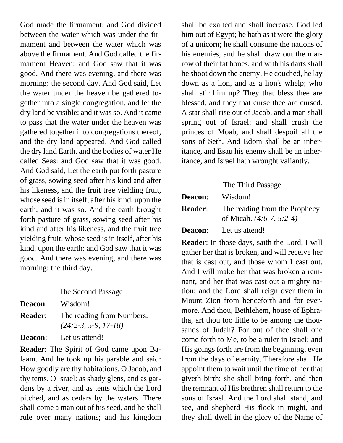God made the firmament: and God divided between the water which was under the firmament and between the water which was above the firmament. And God called the firmament Heaven: and God saw that it was good. And there was evening, and there was morning: the second day. And God said, Let the water under the heaven be gathered together into a single congregation, and let the dry land be visible: and it was so. And it came to pass that the water under the heaven was gathered together into congregations thereof, and the dry land appeared. And God called the dry land Earth, and the bodies of water He called Seas: and God saw that it was good. And God said, Let the earth put forth pasture of grass, sowing seed after his kind and after his likeness, and the fruit tree yielding fruit, whose seed is in itself, after his kind, upon the earth: and it was so. And the earth brought forth pasture of grass, sowing seed after his kind and after his likeness, and the fruit tree yielding fruit, whose seed is in itself, after his kind, upon the earth: and God saw that it was good. And there was evening, and there was morning: the third day.

The Second Passage

| <b>Deacon:</b> Wisdom!                                             |
|--------------------------------------------------------------------|
| <b>Reader:</b> The reading from Numbers.<br>$(24:2-3, 5-9, 17-18)$ |

**Deacon**: Let us attend!

**Reader**: The Spirit of God came upon Balaam. And he took up his parable and said: How goodly are thy habitations, O Jacob, and thy tents, O Israel: as shady glens, and as gardens by a river, and as tents which the Lord pitched, and as cedars by the waters. There shall come a man out of his seed, and he shall rule over many nations; and his kingdom

shall be exalted and shall increase. God led him out of Egypt; he hath as it were the glory of a unicorn; he shall consume the nations of his enemies, and he shall draw out the marrow of their fat bones, and with his darts shall he shoot down the enemy. He couched, he lay down as a lion, and as a lion's whelp; who shall stir him up? They that bless thee are blessed, and they that curse thee are cursed. A star shall rise out of Jacob, and a man shall spring out of Israel; and shall crush the princes of Moab, and shall despoil all the sons of Seth. And Edom shall be an inheritance, and Esau his enemy shall be an inheritance, and Israel hath wrought valiantly.

The Third Passage

| DUAUUII.       | $\mathbf{v}$ $\mathbf{v}$ is the set of $\mathbf{v}$ |
|----------------|------------------------------------------------------|
| <b>Reader:</b> | The reading from the Prophecy                        |
|                | of Micah. $(4:6-7, 5:2-4)$                           |
|                |                                                      |

**Deacon**: Let us attend!

**Deacon**: Wisdom!

**Reader**: In those days, saith the Lord, I will gather her that is broken, and will receive her that is cast out, and those whom I cast out. And I will make her that was broken a remnant, and her that was cast out a mighty nation; and the Lord shall reign over them in Mount Zion from henceforth and for evermore. And thou, Bethlehem, house of Ephratha, art thou too little to be among the thousands of Judah? For out of thee shall one come forth to Me, to be a ruler in Israel; and His goings forth are from the beginning, even from the days of eternity. Therefore shall He appoint them to wait until the time of her that giveth birth; she shall bring forth, and then the remnant of His brethren shall return to the sons of Israel. And the Lord shall stand, and see, and shepherd His flock in might, and they shall dwell in the glory of the Name of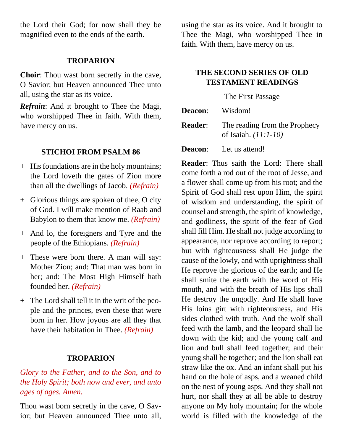the Lord their God; for now shall they be magnified even to the ends of the earth.

#### **TROPARION**

**Choir**: Thou wast born secretly in the cave, O Savior; but Heaven announced Thee unto all, using the star as its voice.

*Refrain*: And it brought to Thee the Magi, who worshipped Thee in faith. With them, have mercy on us.

#### **STICHOI FROM PSALM 86**

- + His foundations are in the holy mountains; the Lord loveth the gates of Zion more than all the dwellings of Jacob. *(Refrain)*
- + Glorious things are spoken of thee, O city of God. I will make mention of Raab and Babylon to them that know me. *(Refrain)*
- + And lo, the foreigners and Tyre and the people of the Ethiopians. *(Refrain)*
- + These were born there. A man will say: Mother Zion; and: That man was born in her; and: The Most High Himself hath founded her. *(Refrain)*
- + The Lord shall tell it in the writ of the people and the princes, even these that were born in her. How joyous are all they that have their habitation in Thee. *(Refrain)*

#### **TROPARION**

# *Glory to the Father, and to the Son, and to the Holy Spirit; both now and ever, and unto ages of ages. Amen.*

Thou wast born secretly in the cave, O Savior; but Heaven announced Thee unto all, using the star as its voice. And it brought to Thee the Magi, who worshipped Thee in faith. With them, have mercy on us.

## **THE SECOND SERIES OF OLD TESTAMENT READINGS**

|  |  | The First Passage |
|--|--|-------------------|
|--|--|-------------------|

- **Reader**: The reading from the Prophecy of Isaiah. *(11:1-10)*
- **Deacon**: Let us attend!

**Reader**: Thus saith the Lord: There shall come forth a rod out of the root of Jesse, and a flower shall come up from his root; and the Spirit of God shall rest upon Him, the spirit of wisdom and understanding, the spirit of counsel and strength, the spirit of knowledge, and godliness, the spirit of the fear of God shall fill Him. He shall not judge according to appearance, nor reprove according to report; but with righteousness shall He judge the cause of the lowly, and with uprightness shall He reprove the glorious of the earth; and He shall smite the earth with the word of His mouth, and with the breath of His lips shall He destroy the ungodly. And He shall have His loins girt with righteousness, and His sides clothed with truth. And the wolf shall feed with the lamb, and the leopard shall lie down with the kid; and the young calf and lion and bull shall feed together; and their young shall be together; and the lion shall eat straw like the ox. And an infant shall put his hand on the hole of asps, and a weaned child on the nest of young asps. And they shall not hurt, nor shall they at all be able to destroy anyone on My holy mountain; for the whole world is filled with the knowledge of the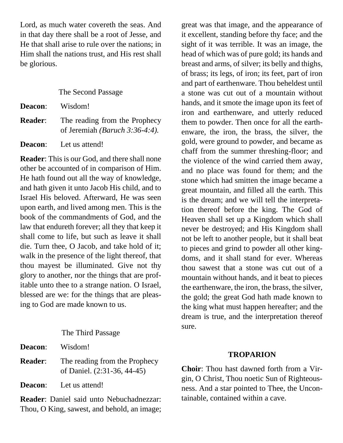Lord, as much water covereth the seas. And in that day there shall be a root of Jesse, and He that shall arise to rule over the nations; in Him shall the nations trust, and His rest shall be glorious.

#### The Second Passage

| <b>Deacon:</b> | Wisdom!                                                                 |
|----------------|-------------------------------------------------------------------------|
| <b>Reader:</b> | The reading from the Prophecy<br>of Jeremiah <i>(Baruch 3:36-4:4)</i> . |

**Deacon**: Let us attend!

**Reader**: This is our God, and there shall none other be accounted of in comparison of Him. He hath found out all the way of knowledge, and hath given it unto Jacob His child, and to Israel His beloved. Afterward, He was seen upon earth, and lived among men. This is the book of the commandments of God, and the law that endureth forever; all they that keep it shall come to life, but such as leave it shall die. Turn thee, O Jacob, and take hold of it; walk in the presence of the light thereof, that thou mayest be illuminated. Give not thy glory to another, nor the things that are profitable unto thee to a strange nation. O Israel, blessed are we: for the things that are pleasing to God are made known to us.

#### The Third Passage

| <b>Deacon:</b> | Wisdom! |
|----------------|---------|
|                |         |

**Reader**: The reading from the Prophecy of Daniel. (2:31-36, 44-45)

**Deacon**: Let us attend!

**Reader**: Daniel said unto Nebuchadnezzar: Thou, O King, sawest, and behold, an image;

great was that image, and the appearance of it excellent, standing before thy face; and the sight of it was terrible. It was an image, the head of which was of pure gold; its hands and breast and arms, of silver; its belly and thighs, of brass; its legs, of iron; its feet, part of iron and part of earthenware. Thou beheldest until a stone was cut out of a mountain without hands, and it smote the image upon its feet of iron and earthenware, and utterly reduced them to powder. Then once for all the earthenware, the iron, the brass, the silver, the gold, were ground to powder, and became as chaff from the summer threshing-floor; and the violence of the wind carried them away, and no place was found for them; and the stone which had smitten the image became a great mountain, and filled all the earth. This is the dream; and we will tell the interpretation thereof before the king. The God of Heaven shall set up a Kingdom which shall never be destroyed; and His Kingdom shall not be left to another people, but it shall beat to pieces and grind to powder all other kingdoms, and it shall stand for ever. Whereas thou sawest that a stone was cut out of a mountain without hands, and it beat to pieces the earthenware, the iron, the brass, the silver, the gold; the great God hath made known to the king what must happen hereafter; and the dream is true, and the interpretation thereof sure.

#### **TROPARION**

**Choir**: Thou hast dawned forth from a Virgin, O Christ, Thou noetic Sun of Righteousness. And a star pointed to Thee, the Uncontainable, contained within a cave.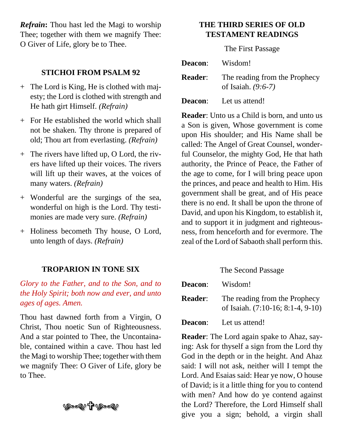*Refrain***:** Thou hast led the Magi to worship Thee; together with them we magnify Thee: O Giver of Life, glory be to Thee.

#### **STICHOI FROM PSALM 92**

- + The Lord is King, He is clothed with majesty; the Lord is clothed with strength and He hath girt Himself. *(Refrain)*
- + For He established the world which shall not be shaken. Thy throne is prepared of old; Thou art from everlasting. *(Refrain)*
- + The rivers have lifted up, O Lord, the rivers have lifted up their voices. The rivers will lift up their waves, at the voices of many waters. *(Refrain)*
- + Wonderful are the surgings of the sea, wonderful on high is the Lord. Thy testimonies are made very sure. *(Refrain)*
- + Holiness becometh Thy house, O Lord, unto length of days. *(Refrain)*

#### **TROPARION IN TONE SIX**

# *Glory to the Father, and to the Son, and to the Holy Spirit; both now and ever, and unto ages of ages. Amen.*

Thou hast dawned forth from a Virgin, O Christ, Thou noetic Sun of Righteousness. And a star pointed to Thee, the Uncontainable, contained within a cave. Thou hast led the Magi to worship Thee; together with them we magnify Thee: O Giver of Life, glory be to Thee.

(\$≫≪21**7** \$≫

# **THE THIRD SERIES OF OLD TESTAMENT READINGS**

The First Passage

| <b>Deacon:</b> Wisdom!                                               |
|----------------------------------------------------------------------|
| <b>Reader:</b> The reading from the Prophecy<br>of Isaiah. $(9:6-7)$ |
| <b>Deacon:</b> Let us attend!                                        |

**Reader**: Unto us a Child is born, and unto us a Son is given, Whose government is come upon His shoulder; and His Name shall be called: The Angel of Great Counsel, wonderful Counselor, the mighty God, He that hath authority, the Prince of Peace, the Father of the age to come, for I will bring peace upon the princes, and peace and health to Him. His government shall be great, and of His peace there is no end. It shall be upon the throne of David, and upon his Kingdom, to establish it, and to support it in judgment and righteousness, from henceforth and for evermore. The zeal of the Lord of Sabaoth shall perform this.

#### The Second Passage

| <b>Deacon:</b> | Wisdom!                                                            |
|----------------|--------------------------------------------------------------------|
| <b>Reader:</b> | The reading from the Prophecy<br>of Isaiah. (7:10-16; 8:1-4, 9-10) |
|                | <b>Deacon:</b> Let us attend!                                      |

**Reader**: The Lord again spake to Ahaz, saying: Ask for thyself a sign from the Lord thy God in the depth or in the height. And Ahaz said: I will not ask, neither will I tempt the Lord. And Esaias said: Hear ye now, O house of David; is it a little thing for you to contend with men? And how do ye contend against the Lord? Therefore, the Lord Himself shall give you a sign; behold, a virgin shall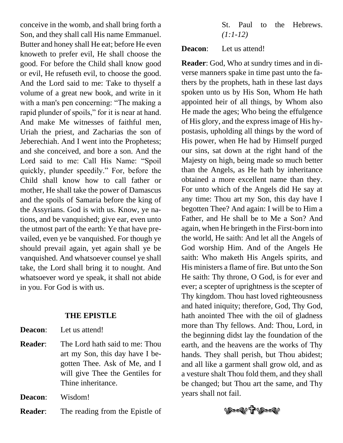conceive in the womb, and shall bring forth a Son, and they shall call His name Emmanuel. Butter and honey shall He eat; before He even knoweth to prefer evil, He shall choose the good. For before the Child shall know good or evil, He refuseth evil, to choose the good. And the Lord said to me: Take to thyself a volume of a great new book, and write in it with a man's pen concerning: "The making a rapid plunder of spoils," for it is near at hand. And make Me witnesses of faithful men, Uriah the priest, and Zacharias the son of Jeberechiah. And I went into the Prophetess; and she conceived, and bore a son. And the Lord said to me: Call His Name: "Spoil quickly, plunder speedily." For, before the Child shall know how to call father or mother, He shall take the power of Damascus and the spoils of Samaria before the king of the Assyrians. God is with us. Know, ye nations, and be vanquished; give ear, even unto the utmost part of the earth: Ye that have prevailed, even ye be vanquished. For though ye should prevail again, yet again shall ye be vanquished. And whatsoever counsel ye shall take, the Lord shall bring it to nought. And whatsoever word ye speak, it shall not abide in you. For God is with us.

#### **THE EPISTLE**

**Deacon**: Let us attend!

- **Reader**: The Lord hath said to me: Thou art my Son, this day have I begotten Thee. Ask of Me, and I will give Thee the Gentiles for Thine inheritance.
- **Deacon**: Wisdom!
- **Reader**: The reading from the Epistle of

St. Paul to the Hebrews. *(1:1-12)*

#### **Deacon**: Let us attend!

**Reader**: God, Who at sundry times and in diverse manners spake in time past unto the fathers by the prophets, hath in these last days spoken unto us by His Son, Whom He hath appointed heir of all things, by Whom also He made the ages; Who being the effulgence of His glory, and the express image of His hypostasis, upholding all things by the word of His power, when He had by Himself purged our sins, sat down at the right hand of the Majesty on high, being made so much better than the Angels, as He hath by inheritance obtained a more excellent name than they. For unto which of the Angels did He say at any time: Thou art my Son, this day have I begotten Thee? And again: I will be to Him a Father, and He shall be to Me a Son? And again, when He bringeth in the First-born into the world, He saith: And let all the Angels of God worship Him. And of the Angels He saith: Who maketh His Angels spirits, and His ministers a flame of fire. But unto the Son He saith: Thy throne, O God, is for ever and ever; a scepter of uprightness is the scepter of Thy kingdom. Thou hast loved righteousness and hated iniquity; therefore, God, Thy God, hath anointed Thee with the oil of gladness more than Thy fellows. And: Thou, Lord, in the beginning didst lay the foundation of the earth, and the heavens are the works of Thy hands. They shall perish, but Thou abidest; and all like a garment shall grow old, and as a vesture shalt Thou fold them, and they shall be changed; but Thou art the same, and Thy years shall not fail.

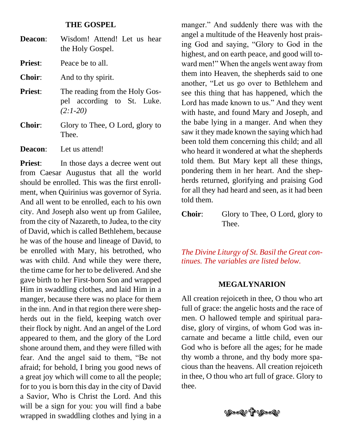#### **THE GOSPEL**

| Deacon:        | Wisdom! Attend! Let us hear<br>the Holy Gospel.                            |
|----------------|----------------------------------------------------------------------------|
| <b>Priest:</b> | Peace be to all.                                                           |
| <b>Choir:</b>  | And to thy spirit.                                                         |
| <b>Priest:</b> | The reading from the Holy Gos-<br>pel according to St. Luke.<br>$(2:1-20)$ |
| <b>Choir:</b>  | Glory to Thee, O Lord, glory to<br>Thee.                                   |

**Deacon**: Let us attend!

**Priest:** In those days a decree went out from Caesar Augustus that all the world should be enrolled. This was the first enrollment, when Quirinius was governor of Syria. And all went to be enrolled, each to his own city. And Joseph also went up from Galilee, from the city of Nazareth, to Judea, to the city of David, which is called Bethlehem, because he was of the house and lineage of David, to be enrolled with Mary, his betrothed, who was with child. And while they were there, the time came for her to be delivered. And she gave birth to her First-born Son and wrapped Him in swaddling clothes, and laid Him in a manger, because there was no place for them in the inn. And in that region there were shepherds out in the field, keeping watch over their flock by night. And an angel of the Lord appeared to them, and the glory of the Lord shone around them, and they were filled with fear. And the angel said to them, "Be not afraid; for behold, I bring you good news of a great joy which will come to all the people; for to you is born this day in the city of David a Savior, Who is Christ the Lord. And this will be a sign for you: you will find a babe wrapped in swaddling clothes and lying in a

manger." And suddenly there was with the angel a multitude of the Heavenly host praising God and saying, "Glory to God in the highest, and on earth peace, and good will toward men!" When the angels went away from them into Heaven, the shepherds said to one another, "Let us go over to Bethlehem and see this thing that has happened, which the Lord has made known to us." And they went with haste, and found Mary and Joseph, and the babe lying in a manger. And when they saw it they made known the saying which had been told them concerning this child; and all who heard it wondered at what the shepherds told them. But Mary kept all these things, pondering them in her heart. And the shepherds returned, glorifying and praising God for all they had heard and seen, as it had been told them.

**Choir**: Glory to Thee, O Lord, glory to Thee.

*The Divine Liturgy of St. Basil the Great continues. The variables are listed below.*

#### **MEGALYNARION**

All creation rejoiceth in thee, O thou who art full of grace: the angelic hosts and the race of men. O hallowed temple and spiritual paradise, glory of virgins, of whom God was incarnate and became a little child, even our God who is before all the ages; for he made thy womb a throne, and thy body more spacious than the heavens. All creation rejoiceth in thee, O thou who art full of grace. Glory to thee.

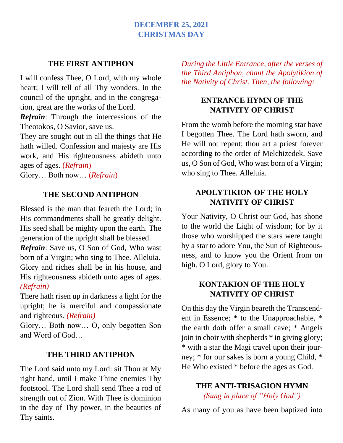# **THE FIRST ANTIPHON**

I will confess Thee, O Lord, with my whole heart; I will tell of all Thy wonders. In the council of the upright, and in the congregation, great are the works of the Lord.

*Refrain*: Through the intercessions of the Theotokos, O Savior, save us.

They are sought out in all the things that He hath willed. Confession and majesty are His work, and His righteousness abideth unto ages of ages. (*Refrain*)

Glory… Both now… (*Refrain*)

## **THE SECOND ANTIPHON**

Blessed is the man that feareth the Lord; in His commandments shall he greatly delight. His seed shall be mighty upon the earth. The generation of the upright shall be blessed.

*Refrain*: Save us, O Son of God, Who wast born of a Virgin; who sing to Thee. Alleluia. Glory and riches shall be in his house, and His righteousness abideth unto ages of ages. *(Refrain)*

There hath risen up in darkness a light for the upright; he is merciful and compassionate and righteous. *(Refrain)*

Glory… Both now… O, only begotten Son and Word of God…

## **THE THIRD ANTIPHON**

The Lord said unto my Lord: sit Thou at My right hand, until I make Thine enemies Thy footstool. The Lord shall send Thee a rod of strength out of Zion. With Thee is dominion in the day of Thy power, in the beauties of Thy saints.

*During the Little Entrance, after the verses of the Third Antiphon, chant the Apolytikion of the Nativity of Christ. Then, the following:*

## **ENTRANCE HYMN OF THE NATIVITY OF CHRIST**

From the womb before the morning star have I begotten Thee. The Lord hath sworn, and He will not repent; thou art a priest forever according to the order of Melchizedek. Save us, O Son of God, Who wast born of a Virgin; who sing to Thee. Alleluia.

## **APOLYTIKION OF THE HOLY NATIVITY OF CHRIST**

Your Nativity, O Christ our God, has shone to the world the Light of wisdom; for by it those who worshipped the stars were taught by a star to adore You, the Sun of Righteousness, and to know you the Orient from on high. O Lord, glory to You.

## **KONTAKION OF THE HOLY NATIVITY OF CHRIST**

On this day the Virgin beareth the Transcendent in Essence; \* to the Unapproachable, \* the earth doth offer a small cave; \* Angels join in choir with shepherds \* in giving glory; \* with a star the Magi travel upon their journey; \* for our sakes is born a young Child, \* He Who existed \* before the ages as God.

# **THE ANTI-TRISAGION HYMN**

*(Sung in place of "Holy God")*

As many of you as have been baptized into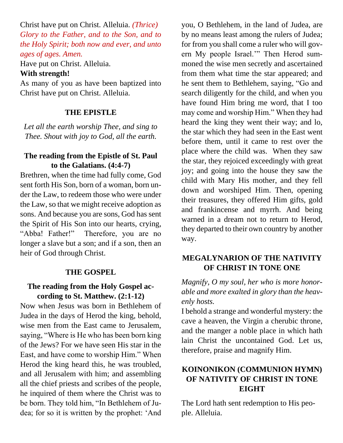Christ have put on Christ. Alleluia. *(Thrice) Glory to the Father, and to the Son, and to the Holy Spirit; both now and ever, and unto ages of ages. Amen.*

Have put on Christ. Alleluia. **With strength!**

As many of you as have been baptized into Christ have put on Christ. Alleluia.

#### **THE EPISTLE**

*Let all the earth worship Thee, and sing to Thee. Shout with joy to God, all the earth.*

#### **The reading from the Epistle of St. Paul to the Galatians. (4:4-7)**

Brethren, when the time had fully come, God sent forth His Son, born of a woman, born under the Law, to redeem those who were under the Law, so that we might receive adoption as sons. And because you are sons, God has sent the Spirit of His Son into our hearts, crying, "Abba! Father!" Therefore, you are no longer a slave but a son; and if a son, then an heir of God through Christ.

#### **THE GOSPEL**

#### **The reading from the Holy Gospel according to St. Matthew. (2:1-12)**

Now when Jesus was born in Bethlehem of Judea in the days of Herod the king, behold, wise men from the East came to Jerusalem, saying, "Where is He who has been born king of the Jews? For we have seen His star in the East, and have come to worship Him." When Herod the king heard this, he was troubled, and all Jerusalem with him; and assembling all the chief priests and scribes of the people, he inquired of them where the Christ was to be born. They told him, "In Bethlehem of Judea; for so it is written by the prophet: 'And

you, O Bethlehem, in the land of Judea, are by no means least among the rulers of Judea; for from you shall come a ruler who will govern My people Israel.'" Then Herod summoned the wise men secretly and ascertained from them what time the star appeared; and he sent them to Bethlehem, saying, "Go and search diligently for the child, and when you have found Him bring me word, that I too may come and worship Him." When they had heard the king they went their way; and lo, the star which they had seen in the East went before them, until it came to rest over the place where the child was. When they saw the star, they rejoiced exceedingly with great joy; and going into the house they saw the child with Mary His mother, and they fell down and worshiped Him. Then, opening their treasures, they offered Him gifts, gold and frankincense and myrrh. And being warned in a dream not to return to Herod, they departed to their own country by another way.

#### **MEGALYNARION OF THE NATIVITY OF CHRIST IN TONE ONE**

*Magnify, O my soul, her who is more honorable and more exalted in glory than the heavenly hosts.*

I behold a strange and wonderful mystery: the cave a heaven, the Virgin a cherubic throne, and the manger a noble place in which hath lain Christ the uncontained God. Let us, therefore, praise and magnify Him.

# **KOINONIKON (COMMUNION HYMN) OF NATIVITY OF CHRIST IN TONE EIGHT**

The Lord hath sent redemption to His people. Alleluia.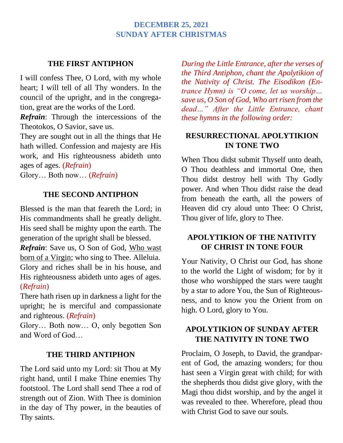## **DECEMBER 25, 2021 SUNDAY AFTER CHRISTMAS**

#### **THE FIRST ANTIPHON**

I will confess Thee, O Lord, with my whole heart; I will tell of all Thy wonders. In the council of the upright, and in the congregation, great are the works of the Lord.

*Refrain*: Through the intercessions of the Theotokos, O Savior, save us.

They are sought out in all the things that He hath willed. Confession and majesty are His work, and His righteousness abideth unto ages of ages. (*Refrain*)

Glory… Both now… (*Refrain*)

#### **THE SECOND ANTIPHON**

Blessed is the man that feareth the Lord; in His commandments shall he greatly delight. His seed shall be mighty upon the earth. The generation of the upright shall be blessed.

*Refrain*: Save us, O Son of God, Who wast born of a Virgin; who sing to Thee. Alleluia. Glory and riches shall be in his house, and His righteousness abideth unto ages of ages. (*Refrain*)

There hath risen up in darkness a light for the upright; he is merciful and compassionate and righteous. (*Refrain*)

Glory… Both now… O, only begotten Son and Word of God…

#### **THE THIRD ANTIPHON**

The Lord said unto my Lord: sit Thou at My right hand, until I make Thine enemies Thy footstool. The Lord shall send Thee a rod of strength out of Zion. With Thee is dominion in the day of Thy power, in the beauties of Thy saints.

*During the Little Entrance, after the verses of the Third Antiphon, chant the Apolytikion of the Nativity of Christ. The Eisodikon (Entrance Hymn) is "O come, let us worship… save us, O Son of God, Who art risen from the dead…" After the Little Entrance, chant these hymns in the following order:*

# **RESURRECTIONAL APOLYTIKION IN TONE TWO**

When Thou didst submit Thyself unto death, O Thou deathless and immortal One, then Thou didst destroy hell with Thy Godly power. And when Thou didst raise the dead from beneath the earth, all the powers of Heaven did cry aloud unto Thee: O Christ, Thou giver of life, glory to Thee.

## **APOLYTIKION OF THE NATIVITY OF CHRIST IN TONE FOUR**

Your Nativity, O Christ our God, has shone to the world the Light of wisdom; for by it those who worshipped the stars were taught by a star to adore You, the Sun of Righteousness, and to know you the Orient from on high. O Lord, glory to You.

## **APOLYTIKION OF SUNDAY AFTER THE NATIVITY IN TONE TWO**

Proclaim, O Joseph, to David, the grandparent of God, the amazing wonders; for thou hast seen a Virgin great with child; for with the shepherds thou didst give glory, with the Magi thou didst worship, and by the angel it was revealed to thee. Wherefore, plead thou with Christ God to save our souls.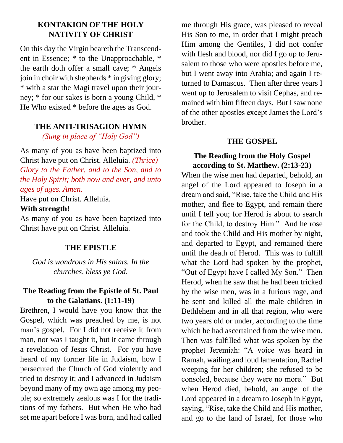# **KONTAKION OF THE HOLY NATIVITY OF CHRIST**

On this day the Virgin beareth the Transcendent in Essence; \* to the Unapproachable, \* the earth doth offer a small cave; \* Angels join in choir with shepherds \* in giving glory; \* with a star the Magi travel upon their journey; \* for our sakes is born a young Child, \* He Who existed \* before the ages as God.

#### **THE ANTI-TRISAGION HYMN**

*(Sung in place of "Holy God")*

As many of you as have been baptized into Christ have put on Christ. Alleluia. *(Thrice) Glory to the Father, and to the Son, and to the Holy Spirit; both now and ever, and unto ages of ages. Amen.*

Have put on Christ. Alleluia. **With strength!**

As many of you as have been baptized into Christ have put on Christ. Alleluia.

#### **THE EPISTLE**

*God is wondrous in His saints. In the churches, bless ye God.*

# **The Reading from the Epistle of St. Paul to the Galatians. (1:11-19)**

Brethren, I would have you know that the Gospel, which was preached by me, is not man's gospel. For I did not receive it from man, nor was I taught it, but it came through a revelation of Jesus Christ. For you have heard of my former life in Judaism, how I persecuted the Church of God violently and tried to destroy it; and I advanced in Judaism beyond many of my own age among my people; so extremely zealous was I for the traditions of my fathers. But when He who had set me apart before I was born, and had called me through His grace, was pleased to reveal His Son to me, in order that I might preach Him among the Gentiles, I did not confer with flesh and blood, nor did I go up to Jerusalem to those who were apostles before me, but I went away into Arabia; and again I returned to Damascus. Then after three years I went up to Jerusalem to visit Cephas, and remained with him fifteen days. But I saw none of the other apostles except James the Lord's brother.

#### **THE GOSPEL**

## **The Reading from the Holy Gospel according to St. Matthew. (2:13-23)**

When the wise men had departed, behold, an angel of the Lord appeared to Joseph in a dream and said, "Rise, take the Child and His mother, and flee to Egypt, and remain there until I tell you; for Herod is about to search for the Child, to destroy Him." And he rose and took the Child and His mother by night, and departed to Egypt, and remained there until the death of Herod. This was to fulfill what the Lord had spoken by the prophet, "Out of Egypt have I called My Son." Then Herod, when he saw that he had been tricked by the wise men, was in a furious rage, and he sent and killed all the male children in Bethlehem and in all that region, who were two years old or under, according to the time which he had ascertained from the wise men. Then was fulfilled what was spoken by the prophet Jeremiah: "A voice was heard in Ramah, wailing and loud lamentation, Rachel weeping for her children; she refused to be consoled, because they were no more." But when Herod died, behold, an angel of the Lord appeared in a dream to Joseph in Egypt, saying, "Rise, take the Child and His mother, and go to the land of Israel, for those who